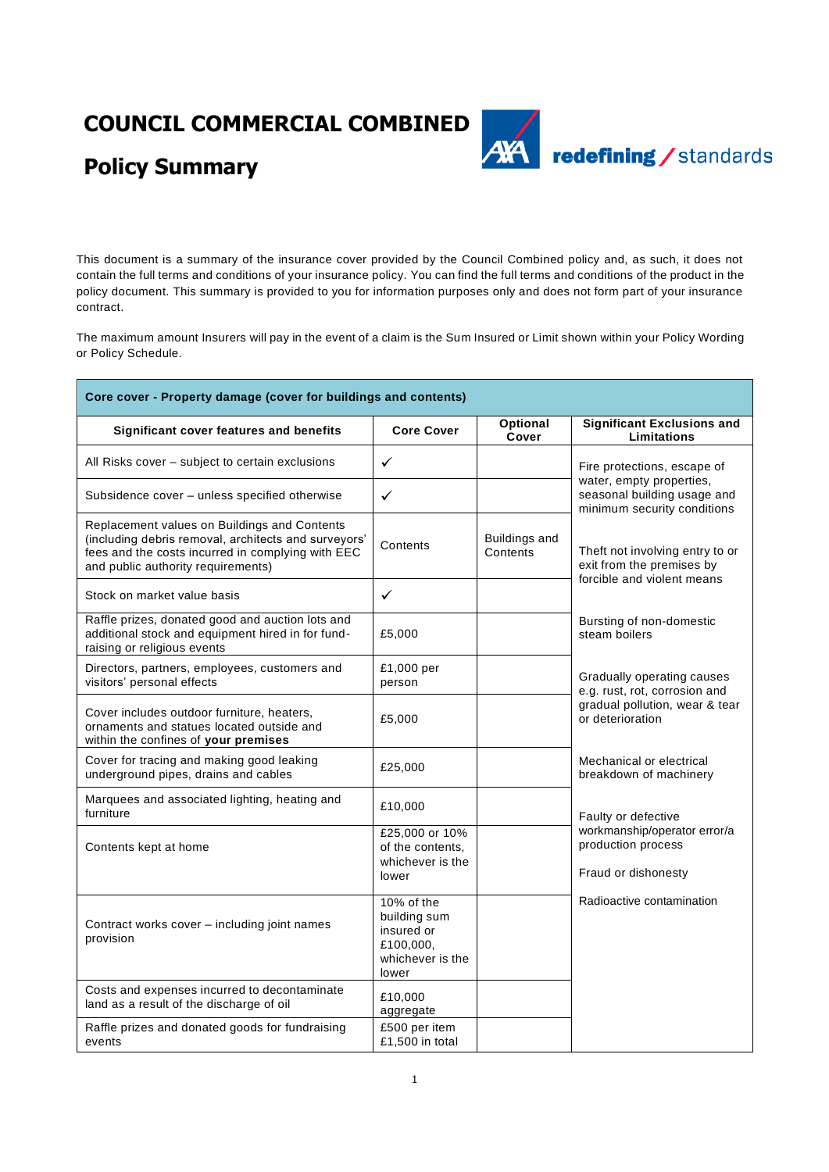## **COUNCIL COMMERCIAL COMBINED**



# **Policy Summary**

This document is a summary of the insurance cover provided by the Council Combined policy and, as such, it does not contain the full terms and conditions of your insurance policy. You can find the full terms and conditions of the product in the policy document. This summary is provided to you for information purposes only and does not form part of your insurance contract.

The maximum amount Insurers will pay in the event of a claim is the Sum Insured or Limit shown within your Policy Wording or Policy Schedule.

| Core cover - Property damage (cover for buildings and contents)                                                                                                                                 |                                                                                    |                           |                                                                                            |  |
|-------------------------------------------------------------------------------------------------------------------------------------------------------------------------------------------------|------------------------------------------------------------------------------------|---------------------------|--------------------------------------------------------------------------------------------|--|
| Significant cover features and benefits                                                                                                                                                         | <b>Core Cover</b>                                                                  | <b>Optional</b><br>Cover  | <b>Significant Exclusions and</b><br>Limitations                                           |  |
| All Risks cover - subject to certain exclusions                                                                                                                                                 | $\checkmark$                                                                       |                           | Fire protections, escape of                                                                |  |
| Subsidence cover - unless specified otherwise                                                                                                                                                   | $\checkmark$                                                                       |                           | water, empty properties,<br>seasonal building usage and<br>minimum security conditions     |  |
| Replacement values on Buildings and Contents<br>(including debris removal, architects and surveyors'<br>fees and the costs incurred in complying with EEC<br>and public authority requirements) | Contents                                                                           | Buildings and<br>Contents | Theft not involving entry to or<br>exit from the premises by<br>forcible and violent means |  |
| Stock on market value basis                                                                                                                                                                     | $\checkmark$                                                                       |                           |                                                                                            |  |
| Raffle prizes, donated good and auction lots and<br>additional stock and equipment hired in for fund-<br>raising or religious events                                                            | £5,000                                                                             |                           | Bursting of non-domestic<br>steam boilers                                                  |  |
| Directors, partners, employees, customers and<br>visitors' personal effects                                                                                                                     | £1,000 per<br>person                                                               |                           | Gradually operating causes<br>e.g. rust, rot, corrosion and                                |  |
| Cover includes outdoor furniture, heaters,<br>ornaments and statues located outside and<br>within the confines of your premises                                                                 | £5,000                                                                             |                           | gradual pollution, wear & tear<br>or deterioration                                         |  |
| Cover for tracing and making good leaking<br>underground pipes, drains and cables                                                                                                               | £25,000                                                                            |                           | Mechanical or electrical<br>breakdown of machinery                                         |  |
| Marquees and associated lighting, heating and<br>furniture                                                                                                                                      | £10,000                                                                            |                           | Faulty or defective                                                                        |  |
| Contents kept at home                                                                                                                                                                           | £25,000 or 10%<br>of the contents,<br>whichever is the<br>lower                    |                           | workmanship/operator error/a<br>production process<br>Fraud or dishonesty                  |  |
| Contract works cover - including joint names<br>provision                                                                                                                                       | 10% of the<br>building sum<br>insured or<br>£100,000,<br>whichever is the<br>lower |                           | Radioactive contamination                                                                  |  |
| Costs and expenses incurred to decontaminate<br>land as a result of the discharge of oil                                                                                                        | £10,000<br>aggregate                                                               |                           |                                                                                            |  |
| Raffle prizes and donated goods for fundraising<br>events                                                                                                                                       | £500 per item<br>£1,500 in total                                                   |                           |                                                                                            |  |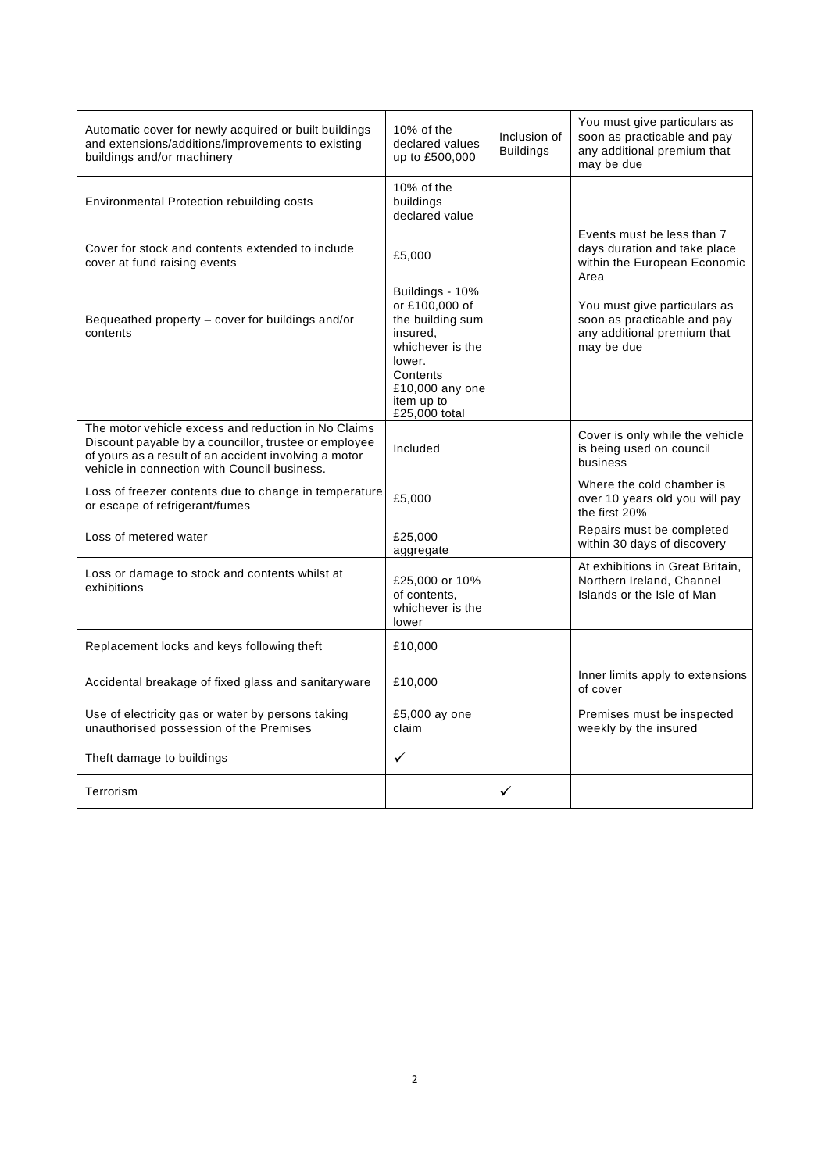| Automatic cover for newly acquired or built buildings<br>and extensions/additions/improvements to existing<br>buildings and/or machinery                                                                              | 10% of the<br>declared values<br>up to £500,000                                                                                                               | Inclusion of<br><b>Buildings</b> | You must give particulars as<br>soon as practicable and pay<br>any additional premium that<br>may be due |
|-----------------------------------------------------------------------------------------------------------------------------------------------------------------------------------------------------------------------|---------------------------------------------------------------------------------------------------------------------------------------------------------------|----------------------------------|----------------------------------------------------------------------------------------------------------|
| Environmental Protection rebuilding costs                                                                                                                                                                             | 10% of the<br>buildings<br>declared value                                                                                                                     |                                  |                                                                                                          |
| Cover for stock and contents extended to include<br>cover at fund raising events                                                                                                                                      | £5,000                                                                                                                                                        |                                  | Events must be less than 7<br>days duration and take place<br>within the European Economic<br>Area       |
| Bequeathed property - cover for buildings and/or<br>contents                                                                                                                                                          | Buildings - 10%<br>or £100,000 of<br>the building sum<br>insured,<br>whichever is the<br>lower.<br>Contents<br>£10,000 any one<br>item up to<br>£25,000 total |                                  | You must give particulars as<br>soon as practicable and pay<br>any additional premium that<br>may be due |
| The motor vehicle excess and reduction in No Claims<br>Discount payable by a councillor, trustee or employee<br>of yours as a result of an accident involving a motor<br>vehicle in connection with Council business. | Included                                                                                                                                                      |                                  | Cover is only while the vehicle<br>is being used on council<br>business                                  |
| Loss of freezer contents due to change in temperature<br>or escape of refrigerant/fumes                                                                                                                               | £5,000                                                                                                                                                        |                                  | Where the cold chamber is<br>over 10 years old you will pay<br>the first 20%                             |
| Loss of metered water                                                                                                                                                                                                 | £25,000<br>aggregate                                                                                                                                          |                                  | Repairs must be completed<br>within 30 days of discovery                                                 |
| Loss or damage to stock and contents whilst at<br>exhibitions                                                                                                                                                         | £25,000 or 10%<br>of contents.<br>whichever is the<br>lower                                                                                                   |                                  | At exhibitions in Great Britain,<br>Northern Ireland, Channel<br>Islands or the Isle of Man              |
| Replacement locks and keys following theft                                                                                                                                                                            | £10,000                                                                                                                                                       |                                  |                                                                                                          |
| Accidental breakage of fixed glass and sanitaryware                                                                                                                                                                   | £10,000                                                                                                                                                       |                                  | Inner limits apply to extensions<br>of cover                                                             |
| Use of electricity gas or water by persons taking<br>unauthorised possession of the Premises                                                                                                                          | £5,000 ay one<br>claim                                                                                                                                        |                                  | Premises must be inspected<br>weekly by the insured                                                      |
| Theft damage to buildings                                                                                                                                                                                             | $\checkmark$                                                                                                                                                  |                                  |                                                                                                          |
| Terrorism                                                                                                                                                                                                             |                                                                                                                                                               | ✓                                |                                                                                                          |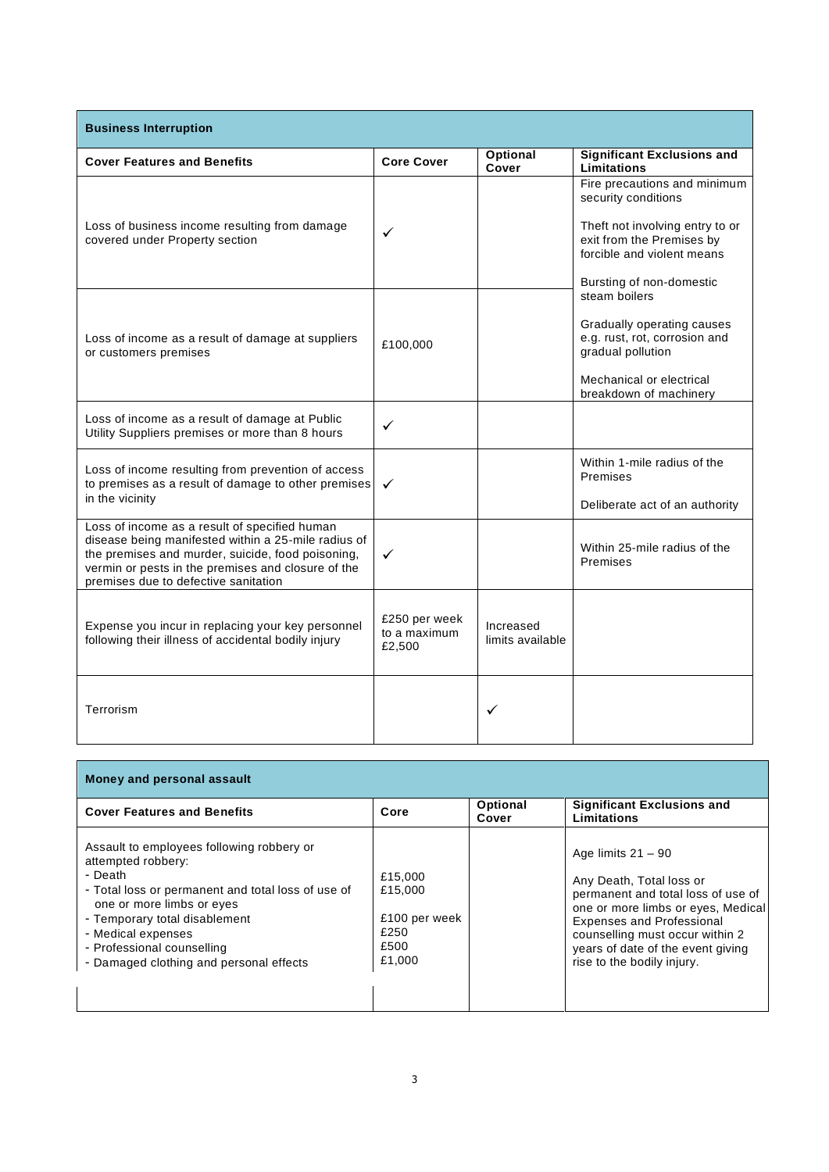| <b>Business Interruption</b>                                                                                                                                                                                                                            |                                         |                               |                                                                                                                                                                               |  |  |
|---------------------------------------------------------------------------------------------------------------------------------------------------------------------------------------------------------------------------------------------------------|-----------------------------------------|-------------------------------|-------------------------------------------------------------------------------------------------------------------------------------------------------------------------------|--|--|
| <b>Cover Features and Benefits</b>                                                                                                                                                                                                                      | <b>Core Cover</b>                       | <b>Optional</b><br>Cover      | <b>Significant Exclusions and</b><br>Limitations                                                                                                                              |  |  |
| Loss of business income resulting from damage<br>covered under Property section                                                                                                                                                                         | ✓                                       |                               | Fire precautions and minimum<br>security conditions<br>Theft not involving entry to or<br>exit from the Premises by<br>forcible and violent means<br>Bursting of non-domestic |  |  |
| Loss of income as a result of damage at suppliers<br>or customers premises                                                                                                                                                                              | £100,000                                |                               | steam boilers<br>Gradually operating causes<br>e.g. rust, rot, corrosion and<br>gradual pollution<br>Mechanical or electrical<br>breakdown of machinery                       |  |  |
| Loss of income as a result of damage at Public<br>Utility Suppliers premises or more than 8 hours                                                                                                                                                       | ✓                                       |                               |                                                                                                                                                                               |  |  |
| Loss of income resulting from prevention of access<br>to premises as a result of damage to other premises<br>in the vicinity                                                                                                                            | ✓                                       |                               | Within 1-mile radius of the<br>Premises<br>Deliberate act of an authority                                                                                                     |  |  |
| Loss of income as a result of specified human<br>disease being manifested within a 25-mile radius of<br>the premises and murder, suicide, food poisoning,<br>vermin or pests in the premises and closure of the<br>premises due to defective sanitation | $\checkmark$                            |                               | Within 25-mile radius of the<br>Premises                                                                                                                                      |  |  |
| Expense you incur in replacing your key personnel<br>following their illness of accidental bodily injury                                                                                                                                                | £250 per week<br>to a maximum<br>£2,500 | Increased<br>limits available |                                                                                                                                                                               |  |  |
| Terrorism                                                                                                                                                                                                                                               |                                         | $\checkmark$                  |                                                                                                                                                                               |  |  |

| Money and personal assault                                                                                                                                                                                                                                                                    |                                                               |                   |                                                                                                                                                                                                                                                                        |  |
|-----------------------------------------------------------------------------------------------------------------------------------------------------------------------------------------------------------------------------------------------------------------------------------------------|---------------------------------------------------------------|-------------------|------------------------------------------------------------------------------------------------------------------------------------------------------------------------------------------------------------------------------------------------------------------------|--|
| <b>Cover Features and Benefits</b>                                                                                                                                                                                                                                                            | Core                                                          | Optional<br>Cover | <b>Significant Exclusions and</b><br>Limitations                                                                                                                                                                                                                       |  |
| Assault to employees following robbery or<br>attempted robbery:<br>- Death<br>- Total loss or permanent and total loss of use of<br>one or more limbs or eyes<br>- Temporary total disablement<br>- Medical expenses<br>- Professional counselling<br>- Damaged clothing and personal effects | £15,000<br>£15,000<br>£100 per week<br>£250<br>£500<br>£1,000 |                   | Age limits $21 - 90$<br>Any Death, Total loss or<br>permanent and total loss of use of<br>one or more limbs or eyes, Medical<br><b>Expenses and Professional</b><br>counselling must occur within 2<br>years of date of the event giving<br>rise to the bodily injury. |  |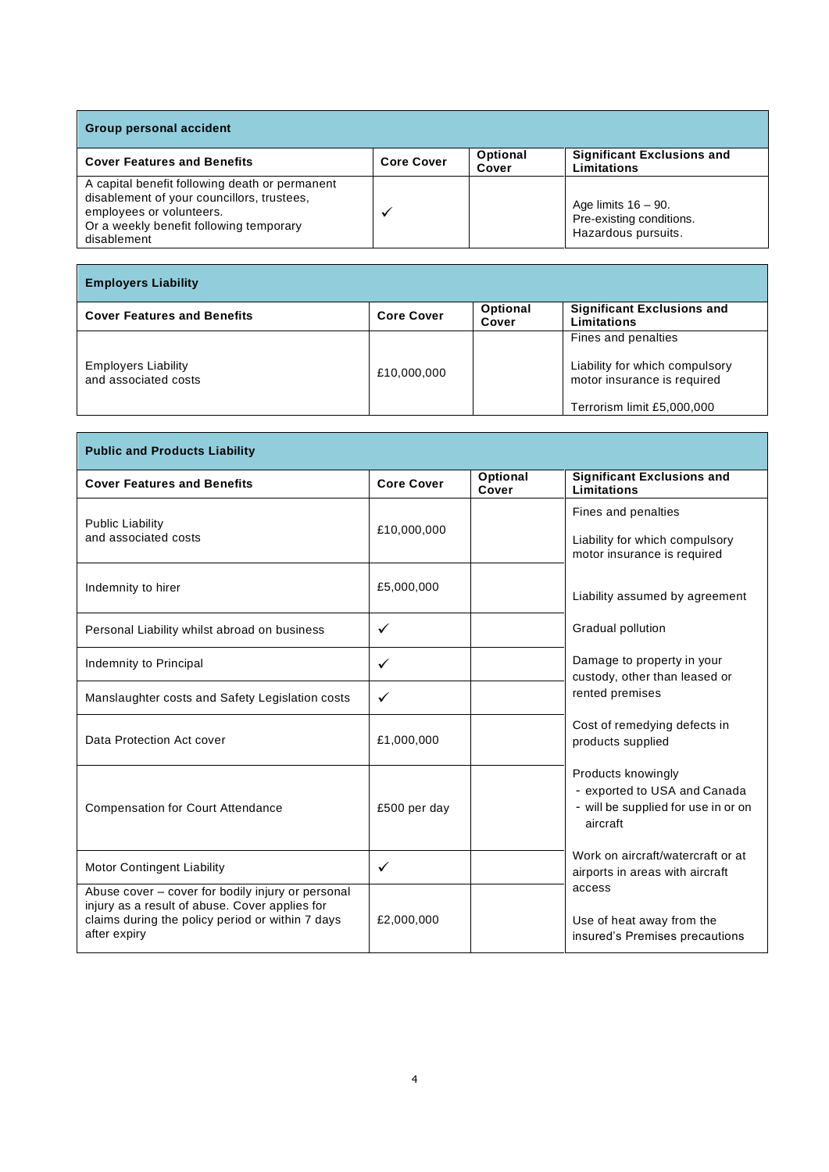| <b>Group personal accident</b>                                                                                                                                                     |                   |                          |                                                                           |  |
|------------------------------------------------------------------------------------------------------------------------------------------------------------------------------------|-------------------|--------------------------|---------------------------------------------------------------------------|--|
| <b>Cover Features and Benefits</b>                                                                                                                                                 | <b>Core Cover</b> | <b>Optional</b><br>Cover | <b>Significant Exclusions and</b><br>Limitations                          |  |
| A capital benefit following death or permanent<br>disablement of your councillors, trustees,<br>employees or volunteers.<br>Or a weekly benefit following temporary<br>disablement |                   |                          | Age limits $16 - 90$ .<br>Pre-existing conditions.<br>Hazardous pursuits. |  |

| <b>Employers Liability</b>                         |                   |                   |                                                               |  |
|----------------------------------------------------|-------------------|-------------------|---------------------------------------------------------------|--|
| <b>Cover Features and Benefits</b>                 | <b>Core Cover</b> | Optional<br>Cover | <b>Significant Exclusions and</b><br>Limitations              |  |
|                                                    |                   |                   | Fines and penalties                                           |  |
| <b>Employers Liability</b><br>and associated costs | £10,000,000       |                   | Liability for which compulsory<br>motor insurance is required |  |
|                                                    |                   |                   | Terrorism limit £5,000,000                                    |  |

 $\overline{\phantom{a}}$ 

| <b>Public and Products Liability</b>                                                                                                                                    |                   |                          |                                                                                                       |  |
|-------------------------------------------------------------------------------------------------------------------------------------------------------------------------|-------------------|--------------------------|-------------------------------------------------------------------------------------------------------|--|
| <b>Cover Features and Benefits</b>                                                                                                                                      | <b>Core Cover</b> | <b>Optional</b><br>Cover | <b>Significant Exclusions and</b><br>Limitations                                                      |  |
| <b>Public Liability</b><br>and associated costs                                                                                                                         | £10,000,000       |                          | Fines and penalties<br>Liability for which compulsory<br>motor insurance is required                  |  |
| Indemnity to hirer                                                                                                                                                      | £5,000,000        |                          | Liability assumed by agreement                                                                        |  |
| Personal Liability whilst abroad on business                                                                                                                            | ✓                 |                          | Gradual pollution                                                                                     |  |
| Indemnity to Principal                                                                                                                                                  | ✓                 |                          | Damage to property in your<br>custody, other than leased or                                           |  |
| Manslaughter costs and Safety Legislation costs                                                                                                                         | ✓                 |                          | rented premises                                                                                       |  |
| Data Protection Act cover                                                                                                                                               | £1,000,000        |                          | Cost of remedying defects in<br>products supplied                                                     |  |
| <b>Compensation for Court Attendance</b>                                                                                                                                | £500 per day      |                          | Products knowingly<br>- exported to USA and Canada<br>- will be supplied for use in or on<br>aircraft |  |
| <b>Motor Contingent Liability</b>                                                                                                                                       | ✓                 |                          | Work on aircraft/watercraft or at<br>airports in areas with aircraft                                  |  |
| Abuse cover - cover for bodily injury or personal<br>injury as a result of abuse. Cover applies for<br>claims during the policy period or within 7 days<br>after expiry | £2,000,000        |                          | access<br>Use of heat away from the<br>insured's Premises precautions                                 |  |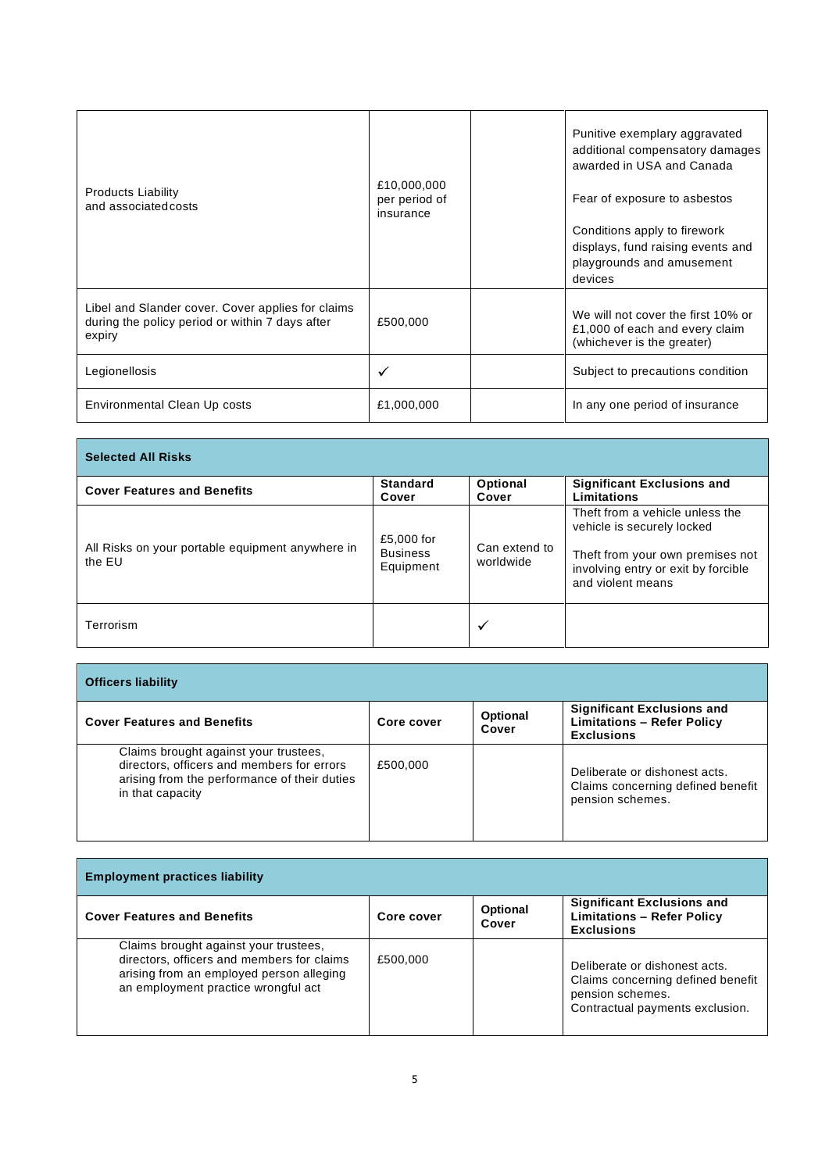| <b>Products Liability</b><br>and associated costs                                                              | £10,000,000<br>per period of<br>insurance | Punitive exemplary aggravated<br>additional compensatory damages<br>awarded in USA and Canada<br>Fear of exposure to asbestos<br>Conditions apply to firework<br>displays, fund raising events and<br>playgrounds and amusement<br>devices |
|----------------------------------------------------------------------------------------------------------------|-------------------------------------------|--------------------------------------------------------------------------------------------------------------------------------------------------------------------------------------------------------------------------------------------|
| Libel and Slander cover. Cover applies for claims<br>during the policy period or within 7 days after<br>expiry | £500,000                                  | We will not cover the first 10% or<br>£1,000 of each and every claim<br>(whichever is the greater)                                                                                                                                         |
| Legionellosis                                                                                                  | ✓                                         | Subject to precautions condition                                                                                                                                                                                                           |
| Environmental Clean Up costs                                                                                   | £1,000,000                                | In any one period of insurance                                                                                                                                                                                                             |

| <b>Selected All Risks</b>                                  |                                            |                            |                                                                                              |  |
|------------------------------------------------------------|--------------------------------------------|----------------------------|----------------------------------------------------------------------------------------------|--|
| <b>Cover Features and Benefits</b>                         | <b>Standard</b><br>Cover                   | Optional<br>Cover          | <b>Significant Exclusions and</b><br>Limitations                                             |  |
|                                                            |                                            |                            | Theft from a vehicle unless the<br>vehicle is securely locked                                |  |
| All Risks on your portable equipment anywhere in<br>the EU | £5,000 for<br><b>Business</b><br>Equipment | Can extend to<br>worldwide | Theft from your own premises not<br>involving entry or exit by forcible<br>and violent means |  |
| Terrorism                                                  |                                            | ✓                          |                                                                                              |  |

÷,

Г

| <b>Officers liability</b>                                                                                                                               |            |                          |                                                                                             |  |
|---------------------------------------------------------------------------------------------------------------------------------------------------------|------------|--------------------------|---------------------------------------------------------------------------------------------|--|
| <b>Cover Features and Benefits</b>                                                                                                                      | Core cover | <b>Optional</b><br>Cover | <b>Significant Exclusions and</b><br><b>Limitations - Refer Policy</b><br><b>Exclusions</b> |  |
| Claims brought against your trustees,<br>directors, officers and members for errors<br>arising from the performance of their duties<br>in that capacity | £500,000   |                          | Deliberate or dishonest acts.<br>Claims concerning defined benefit<br>pension schemes.      |  |

| <b>Employment practices liability</b>                                                                                                                                  |            |                          |                                                                                                                           |  |
|------------------------------------------------------------------------------------------------------------------------------------------------------------------------|------------|--------------------------|---------------------------------------------------------------------------------------------------------------------------|--|
| <b>Cover Features and Benefits</b>                                                                                                                                     | Core cover | <b>Optional</b><br>Cover | <b>Significant Exclusions and</b><br><b>Limitations - Refer Policy</b><br><b>Exclusions</b>                               |  |
| Claims brought against your trustees,<br>directors, officers and members for claims<br>arising from an employed person alleging<br>an employment practice wrongful act | £500,000   |                          | Deliberate or dishonest acts.<br>Claims concerning defined benefit<br>pension schemes.<br>Contractual payments exclusion. |  |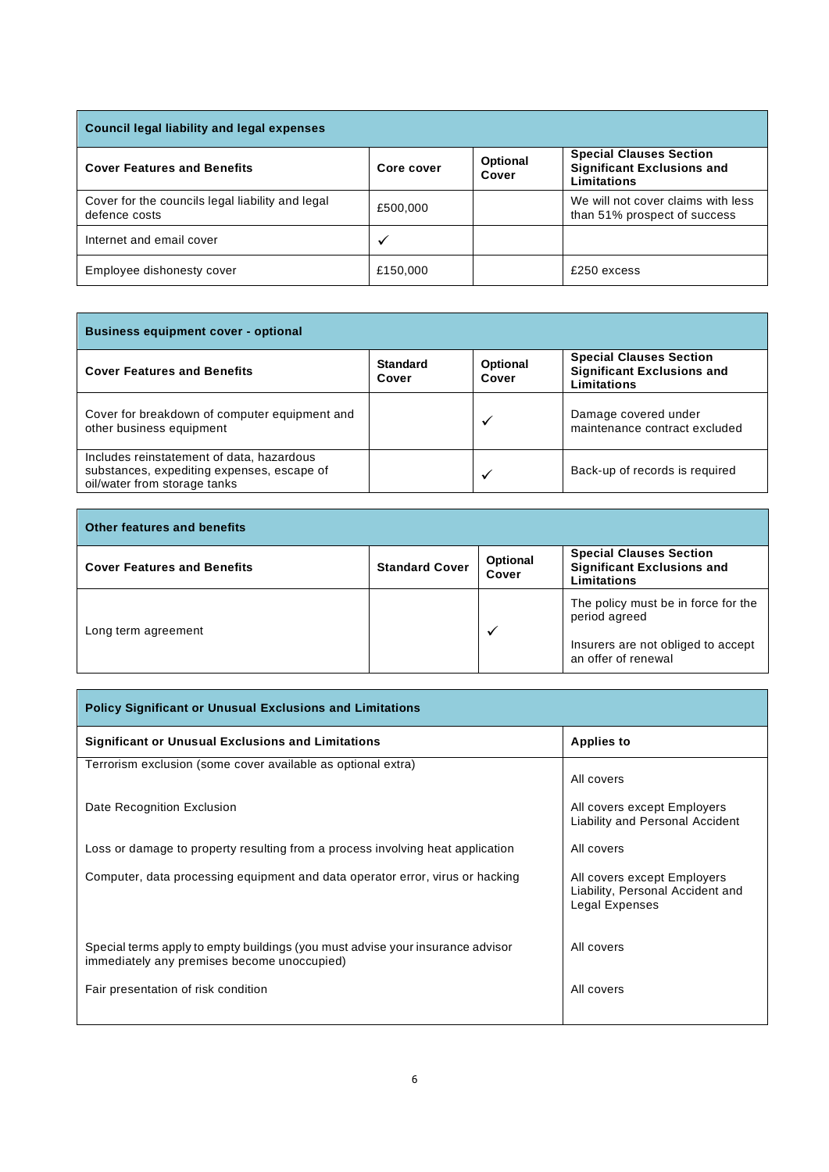| <b>Council legal liability and legal expenses</b>                 |            |                   |                                                                                           |
|-------------------------------------------------------------------|------------|-------------------|-------------------------------------------------------------------------------------------|
| <b>Cover Features and Benefits</b>                                | Core cover | Optional<br>Cover | <b>Special Clauses Section</b><br><b>Significant Exclusions and</b><br><b>Limitations</b> |
| Cover for the councils legal liability and legal<br>defence costs | £500,000   |                   | We will not cover claims with less<br>than 51% prospect of success                        |
| Internet and email cover                                          | ✓          |                   |                                                                                           |
| Employee dishonesty cover                                         | £150,000   |                   | £250 excess                                                                               |

| <b>Business equipment cover - optional</b>                                                                              |                          |                          |                                                                                    |  |
|-------------------------------------------------------------------------------------------------------------------------|--------------------------|--------------------------|------------------------------------------------------------------------------------|--|
| <b>Cover Features and Benefits</b>                                                                                      | <b>Standard</b><br>Cover | <b>Optional</b><br>Cover | <b>Special Clauses Section</b><br><b>Significant Exclusions and</b><br>Limitations |  |
| Cover for breakdown of computer equipment and<br>other business equipment                                               |                          | $\checkmark$             | Damage covered under<br>maintenance contract excluded                              |  |
| Includes reinstatement of data, hazardous<br>substances, expediting expenses, escape of<br>oil/water from storage tanks |                          | $\checkmark$             | Back-up of records is required                                                     |  |

| <b>Other features and benefits</b> |                       |                   |                                                                                                                   |  |  |
|------------------------------------|-----------------------|-------------------|-------------------------------------------------------------------------------------------------------------------|--|--|
| <b>Cover Features and Benefits</b> | <b>Standard Cover</b> | Optional<br>Cover | <b>Special Clauses Section</b><br><b>Significant Exclusions and</b><br>Limitations                                |  |  |
| Long term agreement                |                       | ✔                 | The policy must be in force for the<br>period agreed<br>Insurers are not obliged to accept<br>an offer of renewal |  |  |

| <b>Policy Significant or Unusual Exclusions and Limitations</b>                                                               |                                                                                   |  |  |  |
|-------------------------------------------------------------------------------------------------------------------------------|-----------------------------------------------------------------------------------|--|--|--|
| <b>Significant or Unusual Exclusions and Limitations</b>                                                                      | <b>Applies to</b>                                                                 |  |  |  |
| Terrorism exclusion (some cover available as optional extra)                                                                  | All covers                                                                        |  |  |  |
| Date Recognition Exclusion                                                                                                    | All covers except Employers<br>Liability and Personal Accident                    |  |  |  |
| Loss or damage to property resulting from a process involving heat application                                                | All covers                                                                        |  |  |  |
| Computer, data processing equipment and data operator error, virus or hacking                                                 | All covers except Employers<br>Liability, Personal Accident and<br>Legal Expenses |  |  |  |
| Special terms apply to empty buildings (you must advise your insurance advisor<br>immediately any premises become unoccupied) | All covers                                                                        |  |  |  |
| Fair presentation of risk condition                                                                                           | All covers                                                                        |  |  |  |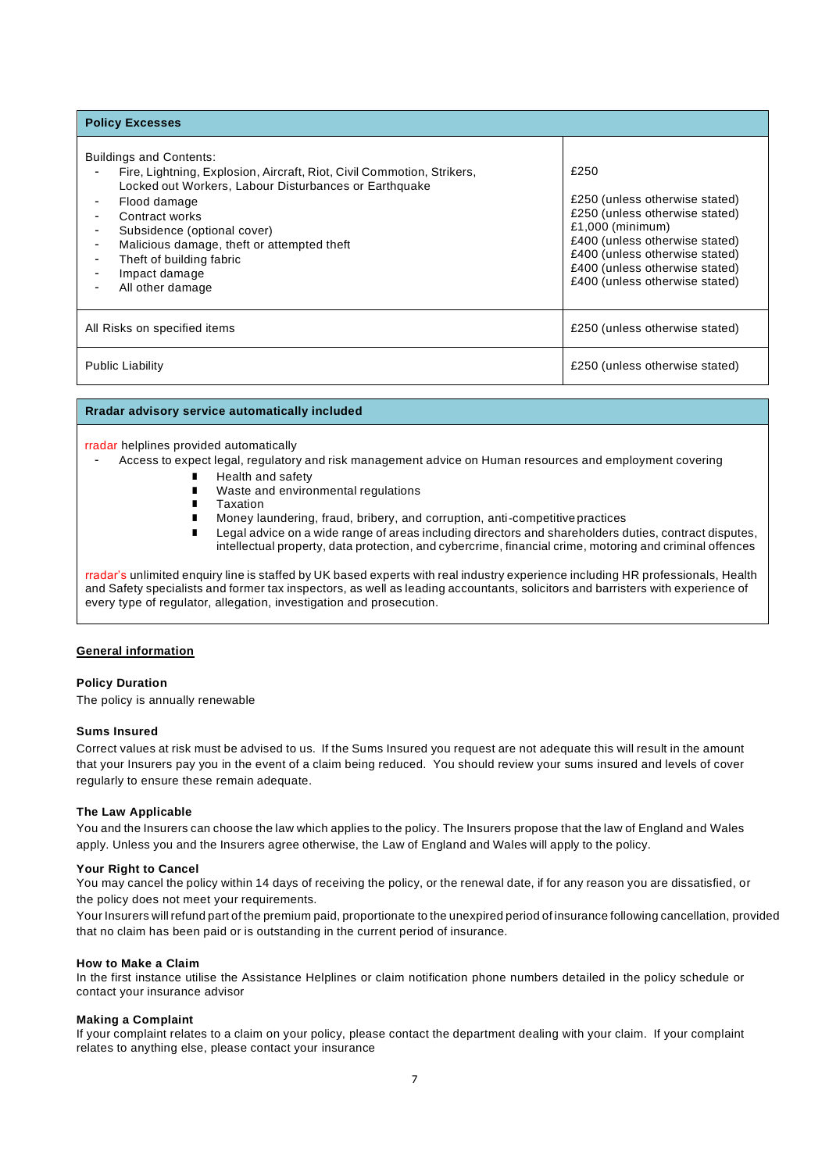| <b>Policy Excesses</b>                                                                                                                                                                                                                                                                                                                            |                                                                                                                                                                                                                                        |
|---------------------------------------------------------------------------------------------------------------------------------------------------------------------------------------------------------------------------------------------------------------------------------------------------------------------------------------------------|----------------------------------------------------------------------------------------------------------------------------------------------------------------------------------------------------------------------------------------|
| <b>Buildings and Contents:</b><br>Fire, Lightning, Explosion, Aircraft, Riot, Civil Commotion, Strikers,<br>Locked out Workers, Labour Disturbances or Earthquake<br>Flood damage<br>Contract works<br>Subsidence (optional cover)<br>Malicious damage, theft or attempted theft<br>Theft of building fabric<br>Impact damage<br>All other damage | £250<br>£250 (unless otherwise stated)<br>£250 (unless otherwise stated)<br>$£1,000$ (minimum)<br>£400 (unless otherwise stated)<br>£400 (unless otherwise stated)<br>£400 (unless otherwise stated)<br>£400 (unless otherwise stated) |
| All Risks on specified items                                                                                                                                                                                                                                                                                                                      | £250 (unless otherwise stated)                                                                                                                                                                                                         |
| <b>Public Liability</b>                                                                                                                                                                                                                                                                                                                           | £250 (unless otherwise stated)                                                                                                                                                                                                         |

## **Rradar advisory service automatically included**

#### rradar helplines provided automatically

- Access to expect legal, regulatory and risk management advice on Human resources and employment covering

- Health and safety
- Waste and environmental regulations
- Taxation
- Money laundering, fraud, bribery, and corruption, anti-competitive practices
- Legal advice on a wide range of areas including directors and shareholders duties, contract disputes, intellectual property, data protection, and cybercrime, financial crime, motoring and criminal offences

rradar's unlimited enquiry line is staffed by UK based experts with real industry experience including HR professionals, Health and Safety specialists and former tax inspectors, as well as leading accountants, solicitors and barristers with experience of every type of regulator, allegation, investigation and prosecution.

#### **General information**

## **Policy Duration**

The policy is annually renewable

#### **Sums Insured**

Correct values at risk must be advised to us. If the Sums Insured you request are not adequate this will result in the amount that your Insurers pay you in the event of a claim being reduced. You should review your sums insured and levels of cover regularly to ensure these remain adequate.

## **The Law Applicable**

You and the Insurers can choose the law which applies to the policy. The Insurers propose that the law of England and Wales apply. Unless you and the Insurers agree otherwise, the Law of England and Wales will apply to the policy.

## **Your Right to Cancel**

You may cancel the policy within 14 days of receiving the policy, or the renewal date, if for any reason you are dissatisfied, or the policy does not meet your requirements.

Your Insurers will refund part of the premium paid, proportionate to the unexpired period of insurance following cancellation, provided that no claim has been paid or is outstanding in the current period of insurance.

#### **How to Make a Claim**

In the first instance utilise the Assistance Helplines or claim notification phone numbers detailed in the policy schedule or contact your insurance advisor

#### **Making a Complaint**

If your complaint relates to a claim on your policy, please contact the department dealing with your claim. If your complaint relates to anything else, please contact your insurance